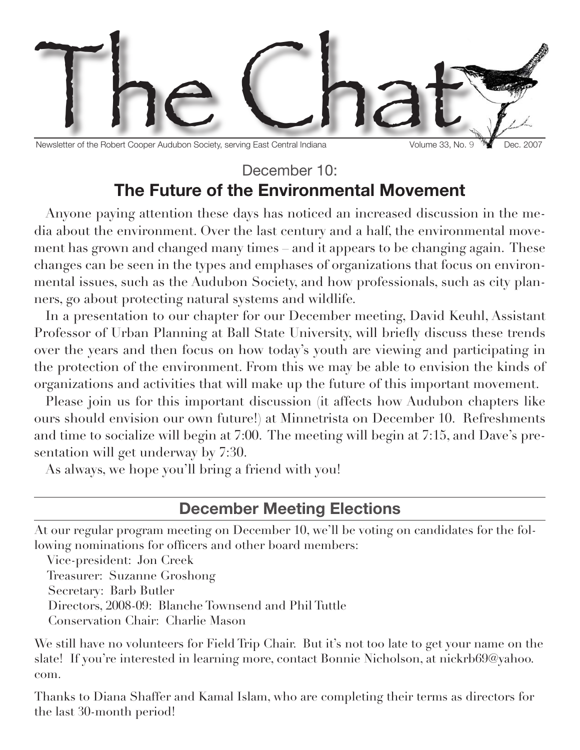

Newsletter of the Robert Cooper Audubon Society, serving East Central Indiana Volume 33, No. 9 PM Dec. 2007

## December 10<sup>.</sup> **The Future of the Environmental Movement**

Anyone paying attention these days has noticed an increased discussion in the media about the environment. Over the last century and a half, the environmental movement has grown and changed many times – and it appears to be changing again. These changes can be seen in the types and emphases of organizations that focus on environmental issues, such as the Audubon Society, and how professionals, such as city planners, go about protecting natural systems and wildlife.

In a presentation to our chapter for our December meeting, David Keuhl, Assistant Professor of Urban Planning at Ball State University, will briefly discuss these trends over the years and then focus on how today's youth are viewing and participating in the protection of the environment. From this we may be able to envision the kinds of organizations and activities that will make up the future of this important movement.

Please join us for this important discussion (it affects how Audubon chapters like ours should envision our own future!) at Minnetrista on December 10. Refreshments and time to socialize will begin at 7:00. The meeting will begin at 7:15, and Dave's presentation will get underway by 7:30.

As always, we hope you'll bring a friend with you!

## **December Meeting Elections**

At our regular program meeting on December 10, we'll be voting on candidates for the following nominations for officers and other board members:

Vice-president: Jon Creek

 Treasurer: Suzanne Groshong Secretary: Barb Butler Directors, 2008-09: Blanche Townsend and Phil Tuttle Conservation Chair: Charlie Mason

We still have no volunteers for Field Trip Chair. But it's not too late to get your name on the slate! If you're interested in learning more, contact Bonnie Nicholson, at nickrb69@yahoo. com.

Thanks to Diana Shaffer and Kamal Islam, who are completing their terms as directors for the last 30-month period!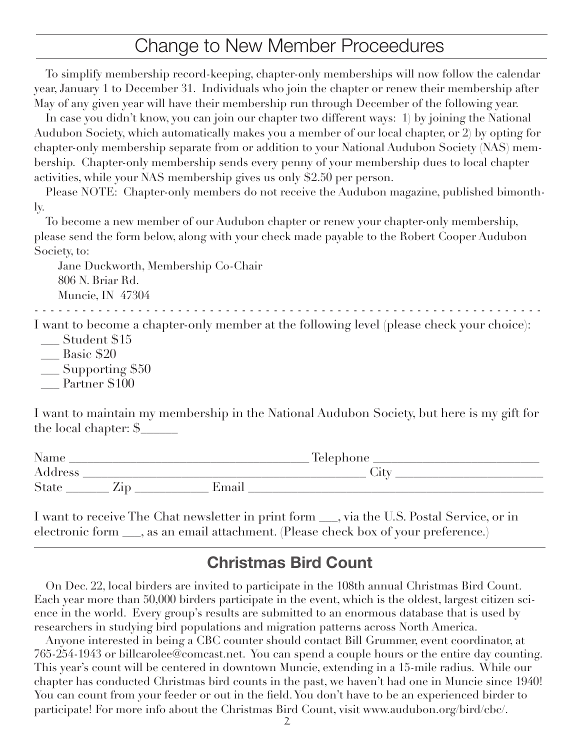# Change to New Member Proceedures

To simplify membership record-keeping, chapter-only memberships will now follow the calendar year, January 1 to December 31. Individuals who join the chapter or renew their membership after May of any given year will have their membership run through December of the following year.

In case you didn't know, you can join our chapter two different ways: 1) by joining the National Audubon Society, which automatically makes you a member of our local chapter, or 2) by opting for chapter-only membership separate from or addition to your National Audubon Society (NAS) membership. Chapter-only membership sends every penny of your membership dues to local chapter activities, while your NAS membership gives us only \$2.50 per person.

Please NOTE: Chapter-only members do not receive the Audubon magazine, published bimonthly.

To become a new member of our Audubon chapter or renew your chapter-only membership, please send the form below, along with your check made payable to the Robert Cooper Audubon Society, to:

 Jane Duckworth, Membership Co-Chair 806 N. Briar Rd. Muncie, IN 47304

- - - - - - - - - - - - - - - - - - - - - - - - - - - - - - - - - - - - - - - - - - - - - - - - - - - - - - - - - - - - - - - -

I want to become a chapter-only member at the following level (please check your choice): Student \$15

- \_\_\_ Basic \$20
- $\_$  Supporting  $\$50$
- Partner \$100

I want to maintain my membership in the National Audubon Society, but here is my gift for the local chapter: \$\_\_\_\_\_\_

| Name    |                |       | Telephone |  |
|---------|----------------|-------|-----------|--|
| Address |                |       | utt'      |  |
| State   | $\triangle$ ID | Email |           |  |

I want to receive The Chat newsletter in print form \_\_\_, via the U.S. Postal Service, or in electronic form \_\_\_, as an email attachment. (Please check box of your preference.)

## **Christmas Bird Count**

On Dec. 22, local birders are invited to participate in the 108th annual Christmas Bird Count. Each year more than 50,000 birders participate in the event, which is the oldest, largest citizen science in the world. Every group's results are submitted to an enormous database that is used by researchers in studying bird populations and migration patterns across North America.

Anyone interested in being a CBC counter should contact Bill Grummer, event coordinator, at 765-254-1943 or billcarolee@comcast.net. You can spend a couple hours or the entire day counting. This year's count will be centered in downtown Muncie, extending in a 15-mile radius. While our chapter has conducted Christmas bird counts in the past, we haven't had one in Muncie since 1940! You can count from your feeder or out in the field. You don't have to be an experienced birder to participate! For more info about the Christmas Bird Count, visit www.audubon.org/bird/cbc/.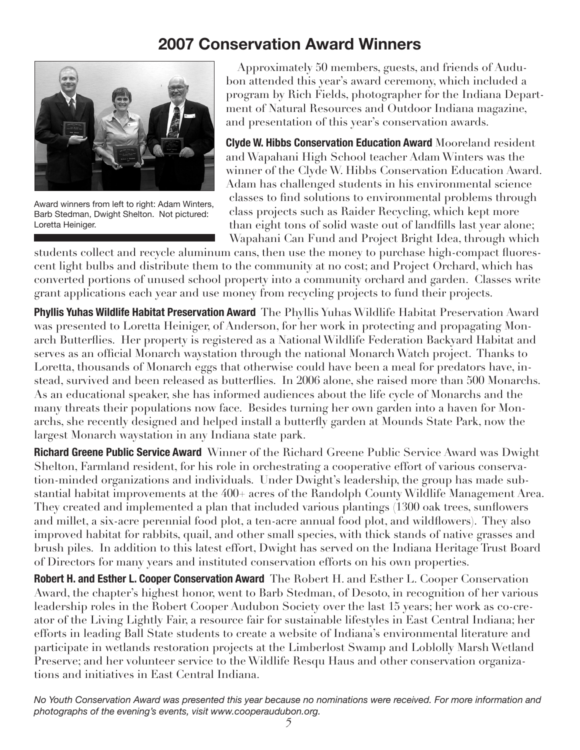# **2007 Conservation Award Winners**



Award winners from left to right: Adam Winters, Barb Stedman, Dwight Shelton. Not pictured: Loretta Heiniger.

Approximately 50 members, guests, and friends of Audubon attended this year's award ceremony, which included a program by Rich Fields, photographer for the Indiana Department of Natural Resources and Outdoor Indiana magazine, and presentation of this year's conservation awards.

**Clyde W. Hibbs Conservation Education Award** Mooreland resident and Wapahani High School teacher Adam Winters was the winner of the Clyde W. Hibbs Conservation Education Award. Adam has challenged students in his environmental science classes to find solutions to environmental problems through class projects such as Raider Recycling, which kept more than eight tons of solid waste out of landfills last year alone; Wapahani Can Fund and Project Bright Idea, through which

students collect and recycle aluminum cans, then use the money to purchase high-compact fluorescent light bulbs and distribute them to the community at no cost; and Project Orchard, which has converted portions of unused school property into a community orchard and garden. Classes write grant applications each year and use money from recycling projects to fund their projects.

**Phyllis Yuhas Wildlife Habitat Preservation Award** The Phyllis Yuhas Wildlife Habitat Preservation Award was presented to Loretta Heiniger, of Anderson, for her work in protecting and propagating Monarch Butterflies. Her property is registered as a National Wildlife Federation Backyard Habitat and serves as an official Monarch waystation through the national Monarch Watch project. Thanks to Loretta, thousands of Monarch eggs that otherwise could have been a meal for predators have, instead, survived and been released as butterflies. In 2006 alone, she raised more than 500 Monarchs. As an educational speaker, she has informed audiences about the life cycle of Monarchs and the many threats their populations now face. Besides turning her own garden into a haven for Monarchs, she recently designed and helped install a butterfly garden at Mounds State Park, now the largest Monarch waystation in any Indiana state park.

**Richard Greene Public Service Award** Winner of the Richard Greene Public Service Award was Dwight Shelton, Farmland resident, for his role in orchestrating a cooperative effort of various conservation-minded organizations and individuals. Under Dwight's leadership, the group has made substantial habitat improvements at the 400+ acres of the Randolph County Wildlife Management Area. They created and implemented a plan that included various plantings (1300 oak trees, sunflowers and millet, a six-acre perennial food plot, a ten-acre annual food plot, and wildflowers). They also improved habitat for rabbits, quail, and other small species, with thick stands of native grasses and brush piles. In addition to this latest effort, Dwight has served on the Indiana Heritage Trust Board of Directors for many years and instituted conservation efforts on his own properties.

**Robert H. and Esther L. Cooper Conservation Award** The Robert H. and Esther L. Cooper Conservation Award, the chapter's highest honor, went to Barb Stedman, of Desoto, in recognition of her various leadership roles in the Robert Cooper Audubon Society over the last 15 years; her work as co-creator of the Living Lightly Fair, a resource fair for sustainable lifestyles in East Central Indiana; her efforts in leading Ball State students to create a website of Indiana's environmental literature and participate in wetlands restoration projects at the Limberlost Swamp and Loblolly Marsh Wetland Preserve; and her volunteer service to the Wildlife Resqu Haus and other conservation organizations and initiatives in East Central Indiana.

*No Youth Conservation Award was presented this year because no nominations were received. For more information and photographs of the evening's events, visit www.cooperaudubon.org.*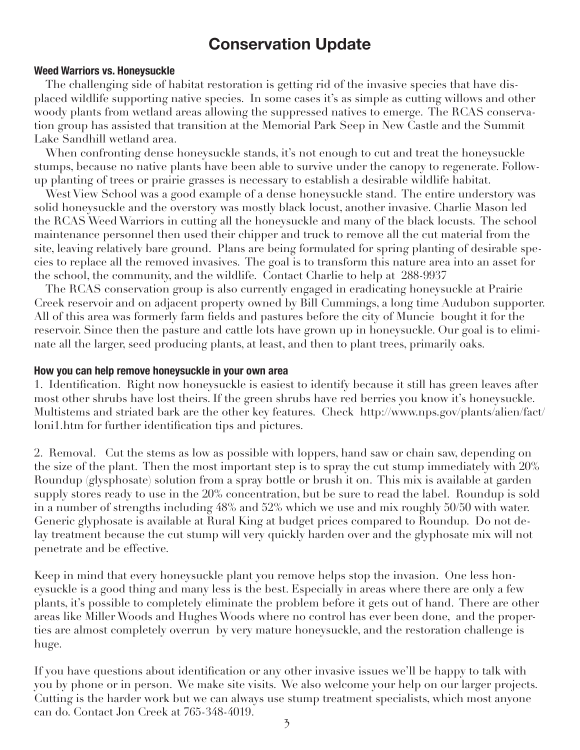## **Conservation Update**

### **Weed Warriors vs. Honeysuckle**

The challenging side of habitat restoration is getting rid of the invasive species that have displaced wildlife supporting native species. In some cases it's as simple as cutting willows and other woody plants from wetland areas allowing the suppressed natives to emerge. The RCAS conservation group has assisted that transition at the Memorial Park Seep in New Castle and the Summit Lake Sandhill wetland area.

When confronting dense honeysuckle stands, it's not enough to cut and treat the honeysuckle stumps, because no native plants have been able to survive under the canopy to regenerate. Followup planting of trees or prairie grasses is necessary to establish a desirable wildlife habitat.

West View School was a good example of a dense honeysuckle stand. The entire understory was solid honeysuckle and the overstory was mostly black locust, another invasive. Charlie Mason led the RCAS Weed Warriors in cutting all the honeysuckle and many of the black locusts. The school maintenance personnel then used their chipper and truck to remove all the cut material from the site, leaving relatively bare ground. Plans are being formulated for spring planting of desirable species to replace all the removed invasives. The goal is to transform this nature area into an asset for the school, the community, and the wildlife. Contact Charlie to help at 288-9937

The RCAS conservation group is also currently engaged in eradicating honeysuckle at Prairie Creek reservoir and on adjacent property owned by Bill Cummings, a long time Audubon supporter. All of this area was formerly farm fields and pastures before the city of Muncie bought it for the reservoir. Since then the pasture and cattle lots have grown up in honeysuckle. Our goal is to eliminate all the larger, seed producing plants, at least, and then to plant trees, primarily oaks.

#### **How you can help remove honeysuckle in your own area**

1. Identification. Right now honeysuckle is easiest to identify because it still has green leaves after most other shrubs have lost theirs. If the green shrubs have red berries you know it's honeysuckle. Multistems and striated bark are the other key features. Check http://www.nps.gov/plants/alien/fact/ loni1.htm for further identification tips and pictures.

2. Removal. Cut the stems as low as possible with loppers, hand saw or chain saw, depending on the size of the plant. Then the most important step is to spray the cut stump immediately with 20% Roundup (glysphosate) solution from a spray bottle or brush it on. This mix is available at garden supply stores ready to use in the 20% concentration, but be sure to read the label. Roundup is sold in a number of strengths including 48% and 52% which we use and mix roughly 50/50 with water. Generic glyphosate is available at Rural King at budget prices compared to Roundup. Do not delay treatment because the cut stump will very quickly harden over and the glyphosate mix will not penetrate and be effective.

Keep in mind that every honeysuckle plant you remove helps stop the invasion. One less honeysuckle is a good thing and many less is the best. Especially in areas where there are only a few plants, it's possible to completely eliminate the problem before it gets out of hand. There are other areas like Miller Woods and Hughes Woods where no control has ever been done, and the properties are almost completely overrun by very mature honeysuckle, and the restoration challenge is huge.

If you have questions about identification or any other invasive issues we'll be happy to talk with you by phone or in person. We make site visits. We also welcome your help on our larger projects. Cutting is the harder work but we can always use stump treatment specialists, which most anyone can do. Contact Jon Creek at 765-348-4019.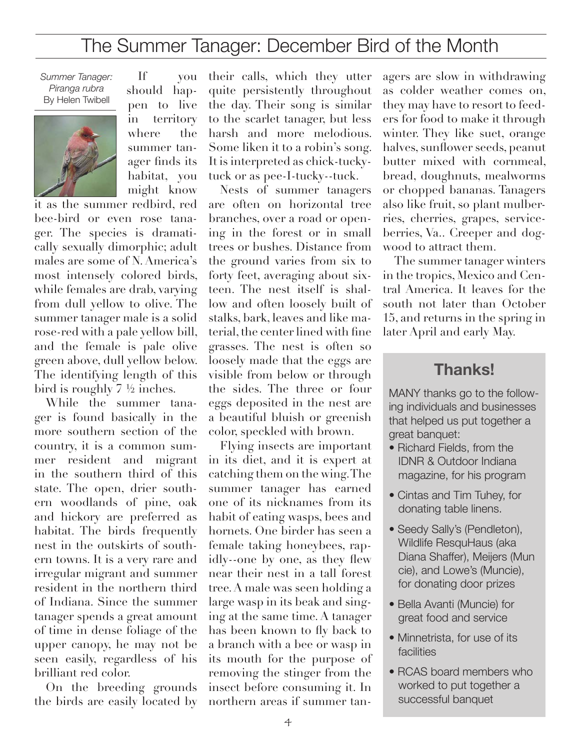# The Summer Tanager: December Bird of the Month

*Summer Tanager: Piranga rubra* By Helen Twibell



If you should happen to live in territory where the summer tanager finds its habitat, you might know

it as the summer redbird, red bee-bird or even rose tanager. The species is dramatically sexually dimorphic; adult males are some of N. America's most intensely colored birds, while females are drab, varying from dull yellow to olive. The summer tanager male is a solid rose-red with a pale yellow bill, and the female is pale olive green above, dull yellow below. The identifying length of this bird is roughly 7 ½ inches.

While the summer tanager is found basically in the more southern section of the country, it is a common summer resident and migrant in the southern third of this state. The open, drier southern woodlands of pine, oak and hickory are preferred as habitat. The birds frequently nest in the outskirts of southern towns. It is a very rare and irregular migrant and summer resident in the northern third of Indiana. Since the summer tanager spends a great amount of time in dense foliage of the upper canopy, he may not be seen easily, regardless of his brilliant red color.

On the breeding grounds the birds are easily located by

their calls, which they utter quite persistently throughout the day. Their song is similar to the scarlet tanager, but less harsh and more melodious. Some liken it to a robin's song. It is interpreted as chick-tuckytuck or as pee-I-tucky--tuck.

Nests of summer tanagers are often on horizontal tree branches, over a road or opening in the forest or in small trees or bushes. Distance from the ground varies from six to forty feet, averaging about sixteen. The nest itself is shallow and often loosely built of stalks, bark, leaves and like material, the center lined with fine grasses. The nest is often so loosely made that the eggs are visible from below or through the sides. The three or four eggs deposited in the nest are a beautiful bluish or greenish color, speckled with brown.

Flying insects are important in its diet, and it is expert at catching them on the wing. The summer tanager has earned one of its nicknames from its habit of eating wasps, bees and hornets. One birder has seen a female taking honeybees, rapidly--one by one, as they flew near their nest in a tall forest tree. A male was seen holding a large wasp in its beak and singing at the same time. A tanager has been known to fly back to a branch with a bee or wasp in its mouth for the purpose of removing the stinger from the insect before consuming it. In northern areas if summer tanagers are slow in withdrawing as colder weather comes on, they may have to resort to feeders for food to make it through winter. They like suet, orange halves, sunflower seeds, peanut butter mixed with cornmeal, bread, doughnuts, mealworms or chopped bananas. Tanagers also like fruit, so plant mulberries, cherries, grapes, serviceberries, Va.. Creeper and dogwood to attract them.

The summer tanager winters in the tropics, Mexico and Central America. It leaves for the south not later than October 15, and returns in the spring in later April and early May.

## **Thanks!**

MANY thanks go to the following individuals and businesses that helped us put together a great banquet:

- Richard Fields, from the IDNR & Outdoor Indiana magazine, for his program
- Cintas and Tim Tuhey, for donating table linens.
- Seedy Sally's (Pendleton), Wildlife ResquHaus (aka Diana Shaffer), Meijers (Mun cie), and Lowe's (Muncie), for donating door prizes
- Bella Avanti (Muncie) for great food and service
- Minnetrista, for use of its facilities
- RCAS board members who worked to put together a successful banquet